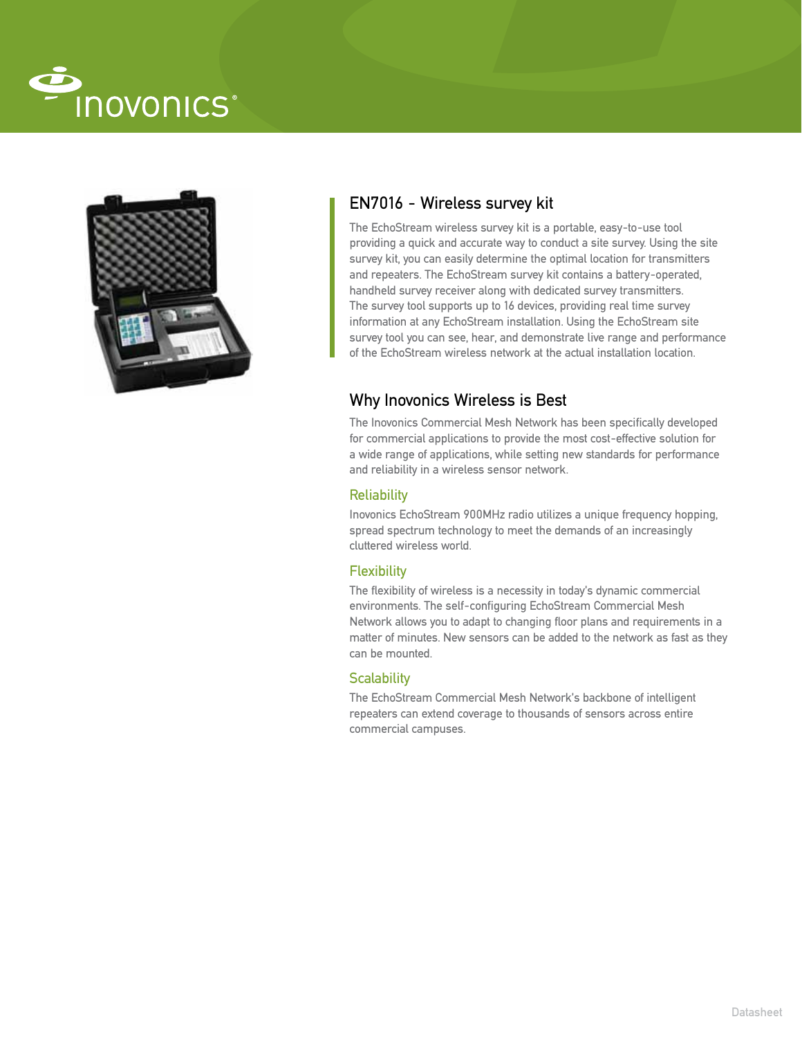



# EN7016 - Wireless survey kit

The EchoStream wireless survey kit is a portable, easy-to-use tool providing a quick and accurate way to conduct a site survey. Using the site survey kit, you can easily determine the optimal location for transmitters and repeaters. The EchoStream survey kit contains a battery-operated, handheld survey receiver along with dedicated survey transmitters. The survey tool supports up to 16 devices, providing real time survey information at any EchoStream installation. Using the EchoStream site survey tool you can see, hear, and demonstrate live range and performance of the EchoStream wireless network at the actual installation location.

## Why Inovonics Wireless is Best

The Inovonics Commercial Mesh Network has been specifically developed for commercial applications to provide the most cost-effective solution for a wide range of applications, while setting new standards for performance and reliability in a wireless sensor network.

### **Reliability**

Inovonics EchoStream 900MHz radio utilizes a unique frequency hopping, spread spectrum technology to meet the demands of an increasingly cluttered wireless world.

## **Flexibility**

The flexibility of wireless is a necessity in today's dynamic commercial environments. The self-configuring EchoStream Commercial Mesh Network allows you to adapt to changing floor plans and requirements in a matter of minutes. New sensors can be added to the network as fast as they can be mounted.

## **Scalability**

The EchoStream Commercial Mesh Network's backbone of intelligent repeaters can extend coverage to thousands of sensors across entire commercial campuses.